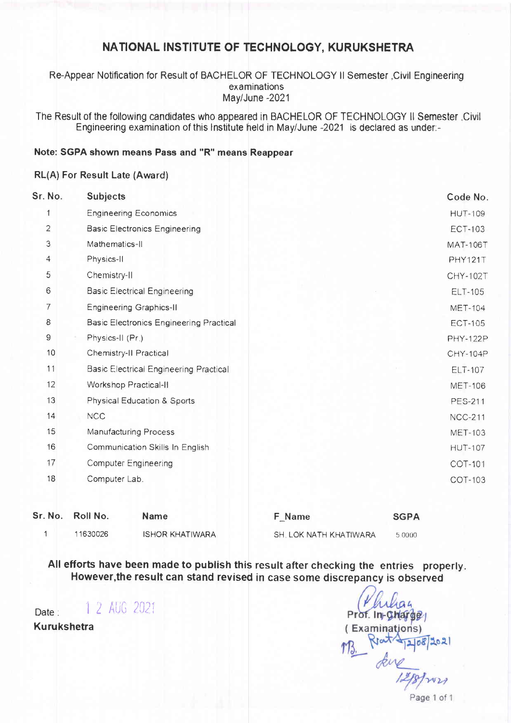# NATIONAL INSTITUTE OF TECHNOLOGY, KURUKSHETRA

Re-Appear Notification for Result of BACHELOR OF TECHNOLOGY II Semester ,Civil Engineering examinations May/June-2021

The Result of the following candidates who appeared in BACHELOR OF TECHNOLOGY II Semester Civil Engineering examination of this Institute held in May/June -2021 is declared as under-

### Note: SGPA shown means Pass and "R" means Reappear

### RL(A) For Result Late (Award)

| Sr. No.        | <b>Subjects</b>                                | Code No.        |
|----------------|------------------------------------------------|-----------------|
| 1              | <b>Engineering Economics</b>                   | <b>HUT-109</b>  |
| $\overline{2}$ | <b>Basic Electronics Engineering</b>           | <b>ECT-103</b>  |
| 3              | Mathematics-II                                 | <b>MAT-106T</b> |
| 4              | Physics-II                                     | PHY121T         |
| 5              | Chemistry-II                                   | CHY-102T        |
| 6              | <b>Basic Electrical Engineering</b>            | <b>ELT-105</b>  |
| 7              | <b>Engineering Graphics-II</b>                 | <b>MET-104</b>  |
| 8              | <b>Basic Electronics Engineering Practical</b> | <b>ECT-105</b>  |
| 9              | Physics-II (Pr.)                               | <b>PHY-122P</b> |
| 10             | Chemistry-II Practical                         | <b>CHY-104P</b> |
| 11             | <b>Basic Electrical Engineering Practical</b>  | <b>ELT-107</b>  |
| 12             | Workshop Practical-II                          | <b>MET-106</b>  |
| 13             | Physical Education & Sports                    | <b>PES-211</b>  |
| 14             | <b>NCC</b>                                     | <b>NCC-211</b>  |
| 15             | <b>Manufacturing Process</b>                   | <b>MET-103</b>  |
| 16             | Communication Skills In English                | <b>HUT-107</b>  |
| 17             | <b>Computer Engineering</b>                    | COT-101         |
| 18             | Computer Lab.                                  | COT-103         |
| $-11$          | <b>D-11 ML-</b>                                |                 |

Sr. No. Roll No. **Name F\_Name SGPA**  $\mathbf{1}$ 11630026 **ISHOR KHATIWARA** SH. LOK NATH KHATIWARA 5 0000

All efforts have been made to publish this result after checking the entries properly. However, the result can stand revised in case some discrepancy is observed

1 2 AUG 2021 Date :

**Kurukshetra** 

Prof. In-Charge (Examinations)  $108202$ WZA

Page 1 of 1